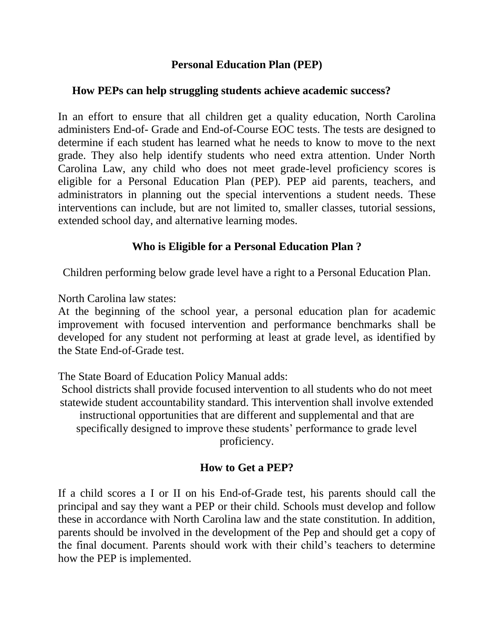#### **Personal Education Plan (PEP)**

#### **How PEPs can help struggling students achieve academic success?**

In an effort to ensure that all children get a quality education, North Carolina administers End-of- Grade and End-of-Course EOC tests. The tests are designed to determine if each student has learned what he needs to know to move to the next grade. They also help identify students who need extra attention. Under North Carolina Law, any child who does not meet grade-level proficiency scores is eligible for a Personal Education Plan (PEP). PEP aid parents, teachers, and administrators in planning out the special interventions a student needs. These interventions can include, but are not limited to, smaller classes, tutorial sessions, extended school day, and alternative learning modes.

## **Who is Eligible for a Personal Education Plan ?**

Children performing below grade level have a right to a Personal Education Plan.

North Carolina law states:

At the beginning of the school year, a personal education plan for academic improvement with focused intervention and performance benchmarks shall be developed for any student not performing at least at grade level, as identified by the State End-of-Grade test.

The State Board of Education Policy Manual adds:

School districts shall provide focused intervention to all students who do not meet statewide student accountability standard. This intervention shall involve extended instructional opportunities that are different and supplemental and that are specifically designed to improve these students' performance to grade level proficiency.

## **How to Get a PEP?**

If a child scores a I or II on his End-of-Grade test, his parents should call the principal and say they want a PEP or their child. Schools must develop and follow these in accordance with North Carolina law and the state constitution. In addition, parents should be involved in the development of the Pep and should get a copy of the final document. Parents should work with their child's teachers to determine how the PEP is implemented.